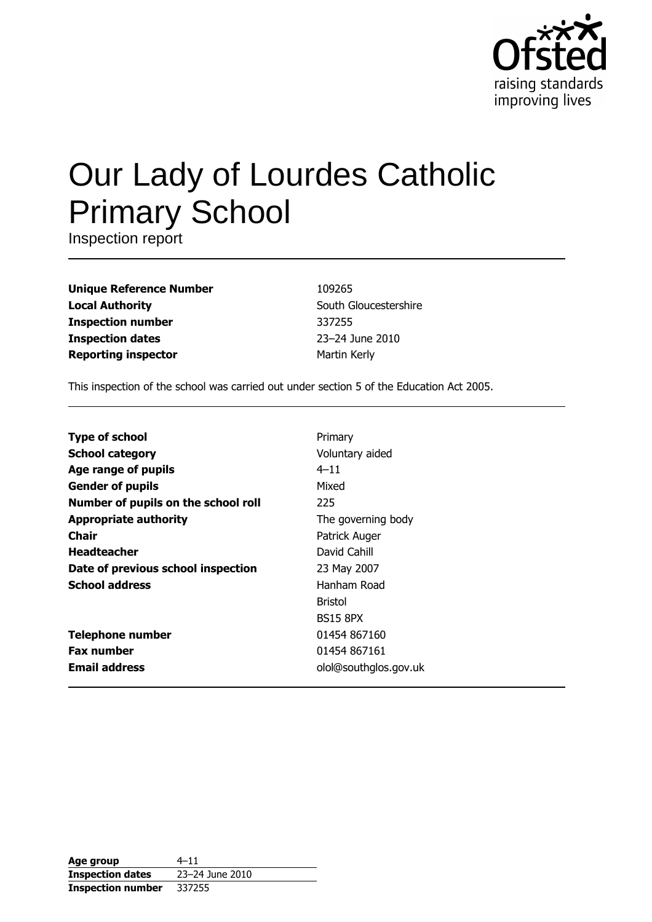

# Our Lady of Lourdes Catholic **Primary School**

Inspection report

**Unique Reference Number Local Authority Inspection number Inspection dates Reporting inspector** 

109265 South Gloucestershire 337255 23-24 June 2010 Martin Kerly

This inspection of the school was carried out under section 5 of the Education Act 2005.

| <b>Type of school</b>               | Primary               |
|-------------------------------------|-----------------------|
| <b>School category</b>              | Voluntary aided       |
| Age range of pupils                 | $4 - 11$              |
| <b>Gender of pupils</b>             | Mixed                 |
| Number of pupils on the school roll | 225                   |
| <b>Appropriate authority</b>        | The governing body    |
| Chair                               | Patrick Auger         |
| <b>Headteacher</b>                  | David Cahill          |
| Date of previous school inspection  | 23 May 2007           |
| <b>School address</b>               | Hanham Road           |
|                                     | <b>Bristol</b>        |
|                                     | <b>BS15 8PX</b>       |
| <b>Telephone number</b>             | 01454 867160          |
| <b>Fax number</b>                   | 01454 867161          |
| <b>Email address</b>                | olol@southglos.gov.uk |

| Age group                | $4 - 11$        |
|--------------------------|-----------------|
| <b>Inspection dates</b>  | 23-24 June 2010 |
| <b>Inspection number</b> | 337255          |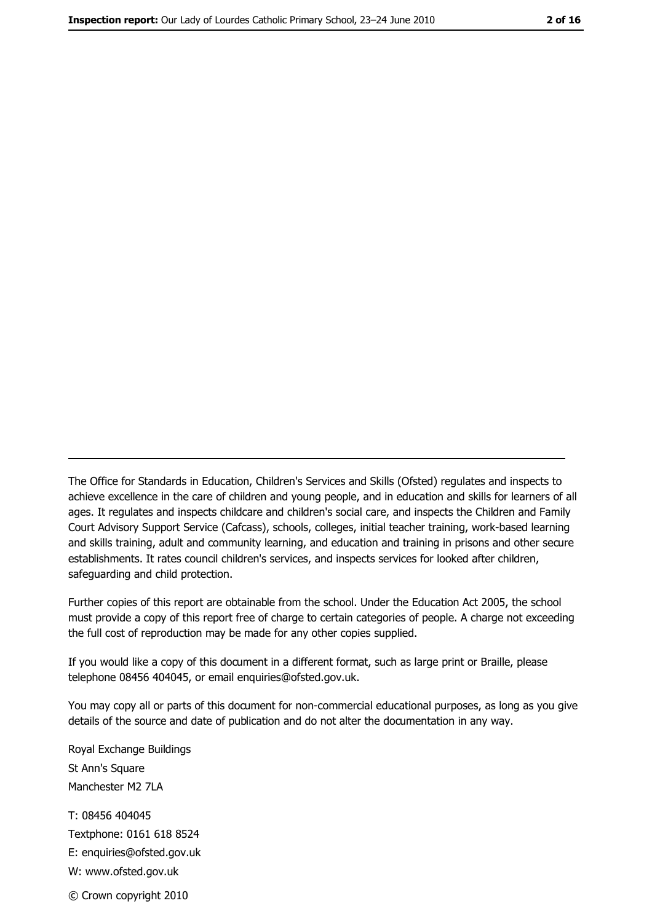The Office for Standards in Education, Children's Services and Skills (Ofsted) regulates and inspects to achieve excellence in the care of children and young people, and in education and skills for learners of all ages. It regulates and inspects childcare and children's social care, and inspects the Children and Family Court Advisory Support Service (Cafcass), schools, colleges, initial teacher training, work-based learning and skills training, adult and community learning, and education and training in prisons and other secure establishments. It rates council children's services, and inspects services for looked after children, safequarding and child protection.

Further copies of this report are obtainable from the school. Under the Education Act 2005, the school must provide a copy of this report free of charge to certain categories of people. A charge not exceeding the full cost of reproduction may be made for any other copies supplied.

If you would like a copy of this document in a different format, such as large print or Braille, please telephone 08456 404045, or email enquiries@ofsted.gov.uk.

You may copy all or parts of this document for non-commercial educational purposes, as long as you give details of the source and date of publication and do not alter the documentation in any way.

Royal Exchange Buildings St Ann's Square Manchester M2 7LA T: 08456 404045 Textphone: 0161 618 8524 E: enquiries@ofsted.gov.uk W: www.ofsted.gov.uk © Crown copyright 2010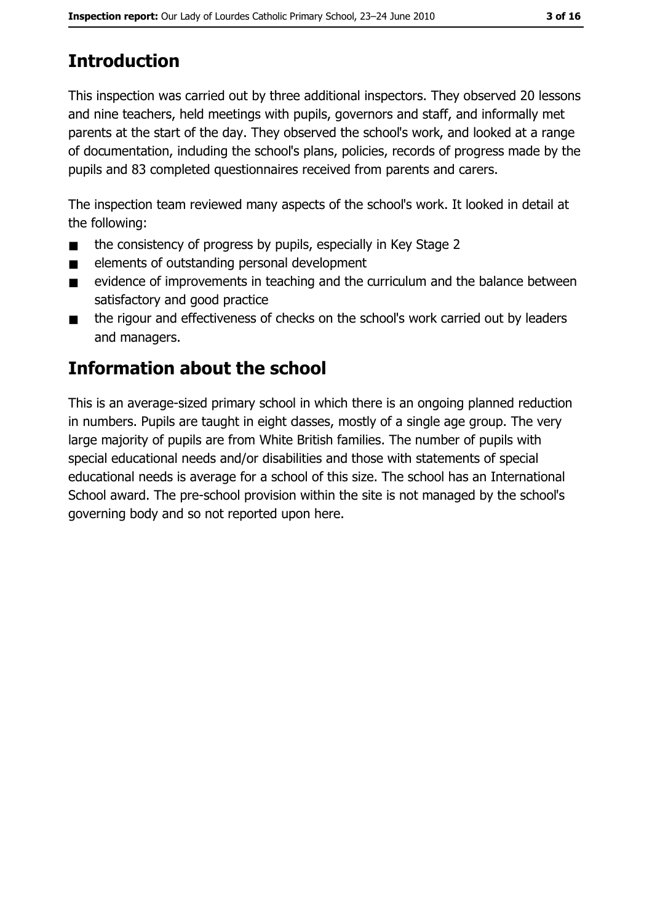# **Introduction**

This inspection was carried out by three additional inspectors. They observed 20 lessons and nine teachers, held meetings with pupils, governors and staff, and informally met parents at the start of the day. They observed the school's work, and looked at a range of documentation, induding the school's plans, policies, records of progress made by the pupils and 83 completed questionnaires received from parents and carers.

The inspection team reviewed many aspects of the school's work. It looked in detail at the following:

- the consistency of progress by pupils, especially in Key Stage 2  $\blacksquare$
- elements of outstanding personal development  $\blacksquare$
- evidence of improvements in teaching and the curriculum and the balance between  $\blacksquare$ satisfactory and good practice
- the rigour and effectiveness of checks on the school's work carried out by leaders  $\blacksquare$ and managers.

# **Information about the school**

This is an average-sized primary school in which there is an ongoing planned reduction in numbers. Pupils are taught in eight dasses, mostly of a single age group. The very large majority of pupils are from White British families. The number of pupils with special educational needs and/or disabilities and those with statements of special educational needs is average for a school of this size. The school has an International School award. The pre-school provision within the site is not managed by the school's governing body and so not reported upon here.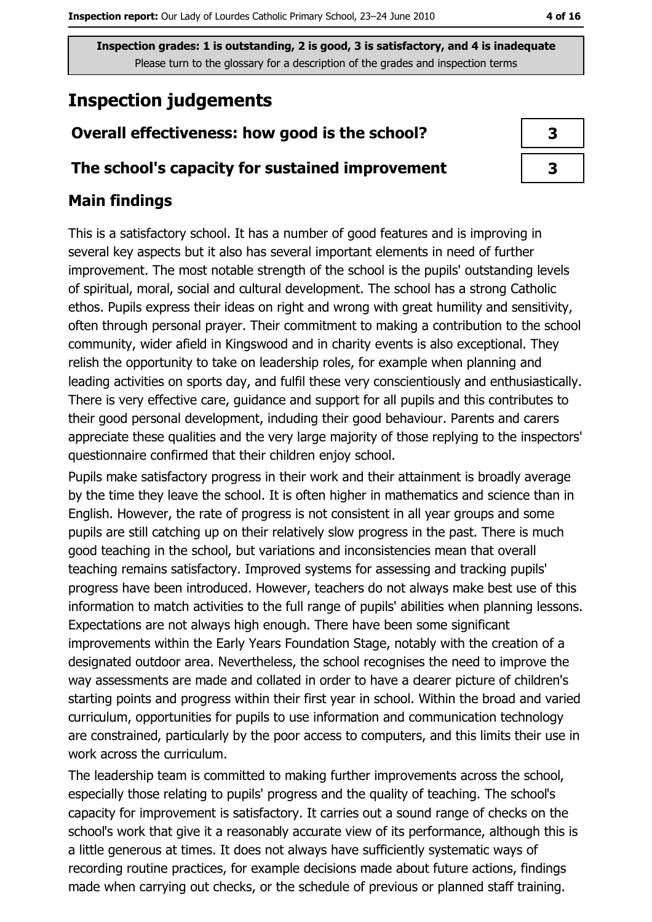# **Inspection judgements**

# Overall effectiveness: how good is the school?

# The school's capacity for sustained improvement

# **Main findings**

This is a satisfactory school. It has a number of good features and is improving in several key aspects but it also has several important elements in need of further improvement. The most notable strength of the school is the pupils' outstanding levels of spiritual, moral, social and cultural development. The school has a strong Catholic ethos. Pupils express their ideas on right and wrong with great humility and sensitivity, often through personal prayer. Their commitment to making a contribution to the school community, wider afield in Kingswood and in charity events is also exceptional. They relish the opportunity to take on leadership roles, for example when planning and leading activities on sports day, and fulfil these very conscientiously and enthusiastically. There is very effective care, guidance and support for all pupils and this contributes to their good personal development, induding their good behaviour. Parents and carers appreciate these qualities and the very large majority of those replying to the inspectors' questionnaire confirmed that their children enjoy school.

Pupils make satisfactory progress in their work and their attainment is broadly average by the time they leave the school. It is often higher in mathematics and science than in English. However, the rate of progress is not consistent in all year groups and some pupils are still catching up on their relatively slow progress in the past. There is much good teaching in the school, but variations and inconsistencies mean that overall teaching remains satisfactory. Improved systems for assessing and tracking pupils' progress have been introduced. However, teachers do not always make best use of this information to match activities to the full range of pupils' abilities when planning lessons. Expectations are not always high enough. There have been some significant improvements within the Early Years Foundation Stage, notably with the creation of a designated outdoor area. Nevertheless, the school recognises the need to improve the way assessments are made and collated in order to have a dearer picture of children's starting points and progress within their first year in school. Within the broad and varied curriculum, opportunities for pupils to use information and communication technology are constrained, particularly by the poor access to computers, and this limits their use in work across the curriculum.

The leadership team is committed to making further improvements across the school, especially those relating to pupils' progress and the quality of teaching. The school's capacity for improvement is satisfactory. It carries out a sound range of checks on the school's work that give it a reasonably accurate view of its performance, although this is a little generous at times. It does not always have sufficiently systematic ways of recording routine practices, for example decisions made about future actions, findings made when carrying out checks, or the schedule of previous or planned staff training.

| 3 |  |
|---|--|
| 3 |  |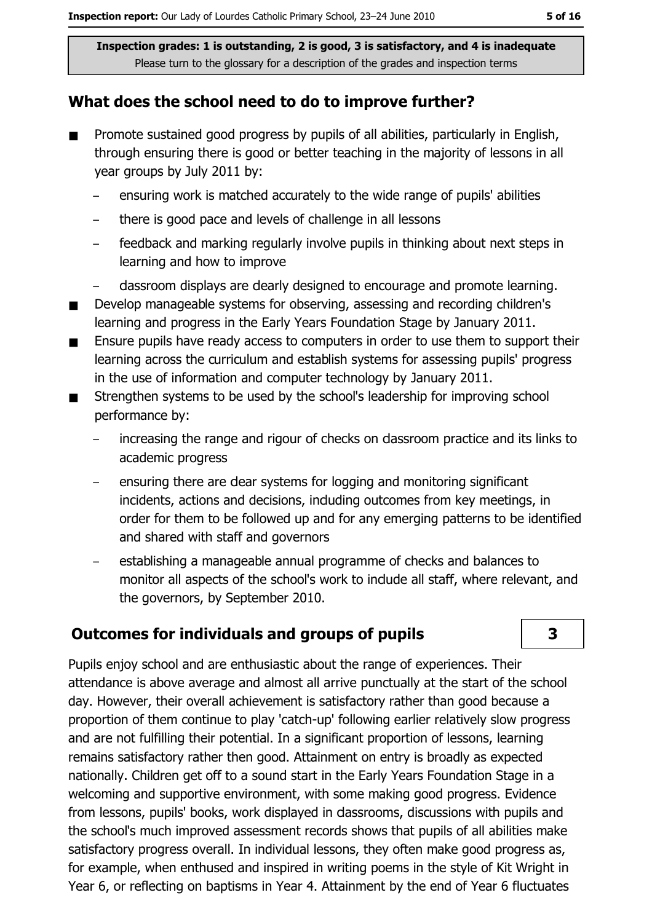# What does the school need to do to improve further?

- Promote sustained good progress by pupils of all abilities, particularly in English,  $\blacksquare$ through ensuring there is good or better teaching in the majority of lessons in all year groups by July 2011 by:
	- ensuring work is matched accurately to the wide range of pupils' abilities
	- there is good pace and levels of challenge in all lessons
	- feedback and marking regularly involve pupils in thinking about next steps in  $\overline{a}$ learning and how to improve
	- dassroom displays are dearly designed to encourage and promote learning.
- Develop manageable systems for observing, assessing and recording children's  $\blacksquare$ learning and progress in the Early Years Foundation Stage by January 2011.
- Ensure pupils have ready access to computers in order to use them to support their  $\blacksquare$ learning across the curriculum and establish systems for assessing pupils' progress in the use of information and computer technology by January 2011.
- Strengthen systems to be used by the school's leadership for improving school  $\blacksquare$ performance by:
	- increasing the range and rigour of checks on dassroom practice and its links to academic progress
	- ensuring there are dear systems for logging and monitoring significant incidents, actions and decisions, induding outcomes from key meetings, in order for them to be followed up and for any emerging patterns to be identified and shared with staff and governors
	- establishing a manageable annual programme of checks and balances to monitor all aspects of the school's work to indude all staff, where relevant, and the governors, by September 2010.

# **Outcomes for individuals and groups of pupils**

Pupils enjoy school and are enthusiastic about the range of experiences. Their attendance is above average and almost all arrive punctually at the start of the school day. However, their overall achievement is satisfactory rather than good because a proportion of them continue to play 'catch-up' following earlier relatively slow progress and are not fulfilling their potential. In a significant proportion of lessons, learning remains satisfactory rather then good. Attainment on entry is broadly as expected nationally. Children get off to a sound start in the Early Years Foundation Stage in a welcoming and supportive environment, with some making good progress. Evidence from lessons, pupils' books, work displayed in dassrooms, discussions with pupils and the school's much improved assessment records shows that pupils of all abilities make satisfactory progress overall. In individual lessons, they often make good progress as, for example, when enthused and inspired in writing poems in the style of Kit Wright in Year 6, or reflecting on baptisms in Year 4. Attainment by the end of Year 6 fluctuates

3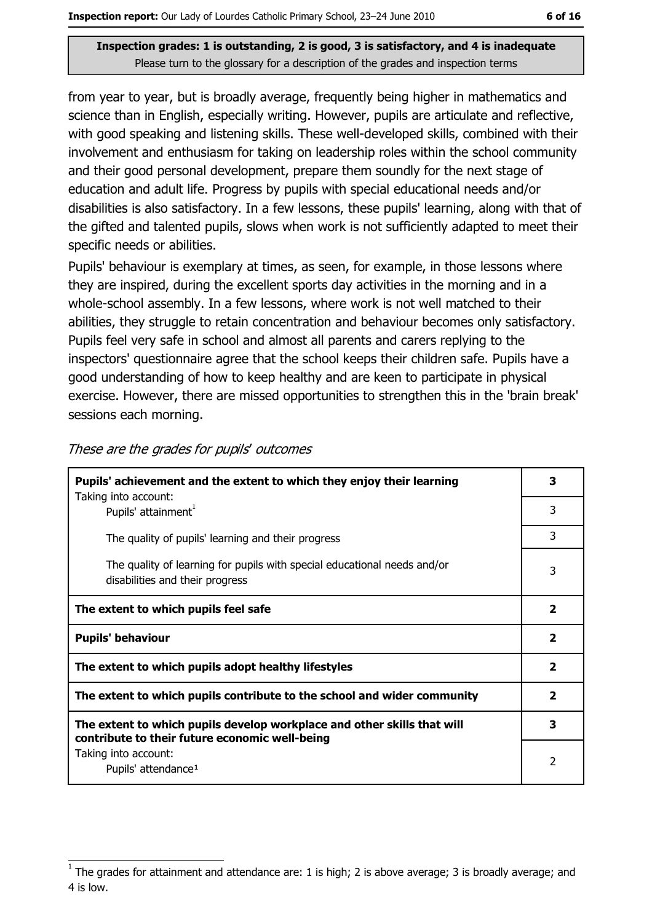from year to year, but is broadly average, frequently being higher in mathematics and science than in English, especially writing. However, pupils are articulate and reflective, with good speaking and listening skills. These well-developed skills, combined with their involvement and enthusiasm for taking on leadership roles within the school community and their good personal development, prepare them soundly for the next stage of education and adult life. Progress by pupils with special educational needs and/or disabilities is also satisfactory. In a few lessons, these pupils' learning, along with that of the gifted and talented pupils, slows when work is not sufficiently adapted to meet their specific needs or abilities.

Pupils' behaviour is exemplary at times, as seen, for example, in those lessons where they are inspired, during the excellent sports day activities in the morning and in a whole-school assembly. In a few lessons, where work is not well matched to their abilities, they struggle to retain concentration and behaviour becomes only satisfactory. Pupils feel very safe in school and almost all parents and carers replying to the inspectors' questionnaire agree that the school keeps their children safe. Pupils have a good understanding of how to keep healthy and are keen to participate in physical exercise. However, there are missed opportunities to strengthen this in the 'brain break' sessions each morning.

| Pupils' achievement and the extent to which they enjoy their learning                                                     |                         |
|---------------------------------------------------------------------------------------------------------------------------|-------------------------|
| Taking into account:<br>Pupils' attainment <sup>1</sup>                                                                   | 3                       |
| The quality of pupils' learning and their progress                                                                        | 3                       |
| The quality of learning for pupils with special educational needs and/or<br>disabilities and their progress               | 3                       |
| The extent to which pupils feel safe                                                                                      |                         |
|                                                                                                                           |                         |
| <b>Pupils' behaviour</b>                                                                                                  | $\overline{\mathbf{2}}$ |
| The extent to which pupils adopt healthy lifestyles                                                                       | $\overline{2}$          |
| The extent to which pupils contribute to the school and wider community                                                   | $\overline{\mathbf{2}}$ |
| The extent to which pupils develop workplace and other skills that will<br>contribute to their future economic well-being | 3                       |

These are the grades for pupils' outcomes

The grades for attainment and attendance are: 1 is high; 2 is above average; 3 is broadly average; and 4 is low.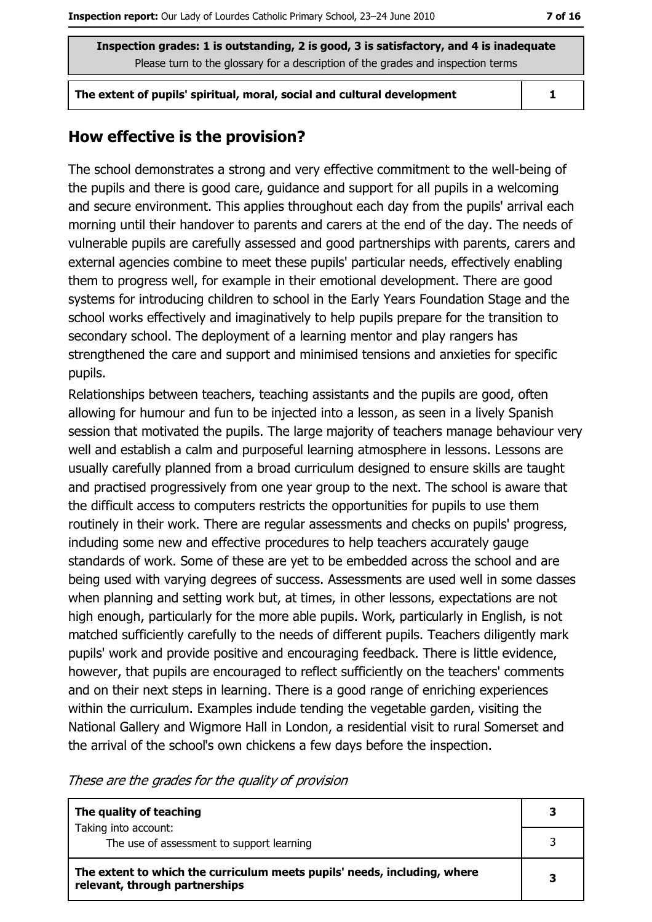The extent of pupils' spiritual, moral, social and cultural development

 $\mathbf{1}$ 

# How effective is the provision?

The school demonstrates a strong and very effective commitment to the well-being of the pupils and there is good care, guidance and support for all pupils in a welcoming and secure environment. This applies throughout each day from the pupils' arrival each morning until their handover to parents and carers at the end of the day. The needs of vulnerable pupils are carefully assessed and good partnerships with parents, carers and external agencies combine to meet these pupils' particular needs, effectively enabling them to progress well, for example in their emotional development. There are good systems for introducing children to school in the Early Years Foundation Stage and the school works effectively and imaginatively to help pupils prepare for the transition to secondary school. The deployment of a learning mentor and play rangers has strengthened the care and support and minimised tensions and anxieties for specific pupils.

Relationships between teachers, teaching assistants and the pupils are good, often allowing for humour and fun to be injected into a lesson, as seen in a lively Spanish session that motivated the pupils. The large majority of teachers manage behaviour very well and establish a calm and purposeful learning atmosphere in lessons. Lessons are usually carefully planned from a broad curriculum designed to ensure skills are taught and practised progressively from one year group to the next. The school is aware that the difficult access to computers restricts the opportunities for pupils to use them routinely in their work. There are regular assessments and checks on pupils' progress, induding some new and effective procedures to help teachers accurately gauge standards of work. Some of these are yet to be embedded across the school and are being used with varying degrees of success. Assessments are used well in some dasses when planning and setting work but, at times, in other lessons, expectations are not high enough, particularly for the more able pupils. Work, particularly in English, is not matched sufficiently carefully to the needs of different pupils. Teachers diligently mark pupils' work and provide positive and encouraging feedback. There is little evidence, however, that pupils are encouraged to reflect sufficiently on the teachers' comments and on their next steps in learning. There is a good range of enriching experiences within the curriculum. Examples indude tending the vegetable garden, visiting the National Gallery and Wigmore Hall in London, a residential visit to rural Somerset and the arrival of the school's own chickens a few days before the inspection.

These are the grades for the quality of provision

| The quality of teaching                                                                                    |  |
|------------------------------------------------------------------------------------------------------------|--|
| Taking into account:<br>The use of assessment to support learning                                          |  |
| The extent to which the curriculum meets pupils' needs, including, where<br>relevant, through partnerships |  |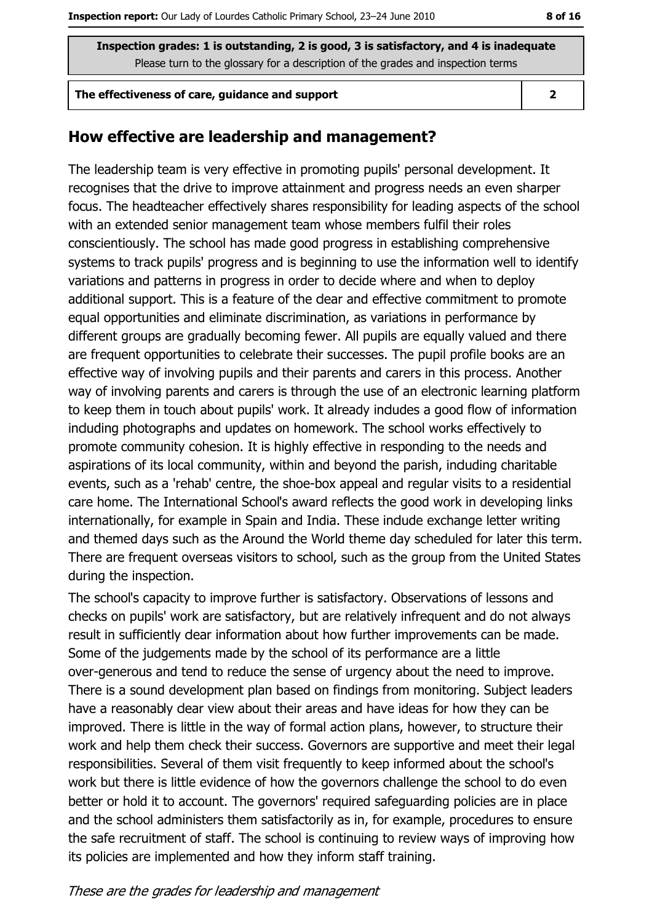#### The effectiveness of care, guidance and support

 $\overline{2}$ 

### How effective are leadership and management?

The leadership team is very effective in promoting pupils' personal development. It recognises that the drive to improve attainment and progress needs an even sharper focus. The headteacher effectively shares responsibility for leading aspects of the school with an extended senior management team whose members fulfil their roles conscientiously. The school has made good progress in establishing comprehensive systems to track pupils' progress and is beginning to use the information well to identify variations and patterns in progress in order to decide where and when to deploy additional support. This is a feature of the dear and effective commitment to promote equal opportunities and eliminate discrimination, as variations in performance by different groups are gradually becoming fewer. All pupils are equally valued and there are frequent opportunities to celebrate their successes. The pupil profile books are an effective way of involving pupils and their parents and carers in this process. Another way of involving parents and carers is through the use of an electronic learning platform to keep them in touch about pupils' work. It already indudes a good flow of information induding photographs and updates on homework. The school works effectively to promote community cohesion. It is highly effective in responding to the needs and aspirations of its local community, within and beyond the parish, induding charitable events, such as a 'rehab' centre, the shoe-box appeal and regular visits to a residential care home. The International School's award reflects the good work in developing links internationally, for example in Spain and India. These indude exchange letter writing and themed days such as the Around the World theme day scheduled for later this term. There are frequent overseas visitors to school, such as the group from the United States during the inspection.

The school's capacity to improve further is satisfactory. Observations of lessons and checks on pupils' work are satisfactory, but are relatively infrequent and do not always result in sufficiently dear information about how further improvements can be made. Some of the judgements made by the school of its performance are a little over-generous and tend to reduce the sense of urgency about the need to improve. There is a sound development plan based on findings from monitoring. Subject leaders have a reasonably dear view about their areas and have ideas for how they can be improved. There is little in the way of formal action plans, however, to structure their work and help them check their success. Governors are supportive and meet their legal responsibilities. Several of them visit frequently to keep informed about the school's work but there is little evidence of how the governors challenge the school to do even better or hold it to account. The governors' required safeguarding policies are in place and the school administers them satisfactorily as in, for example, procedures to ensure the safe recruitment of staff. The school is continuing to review ways of improving how its policies are implemented and how they inform staff training.

#### These are the grades for leadership and management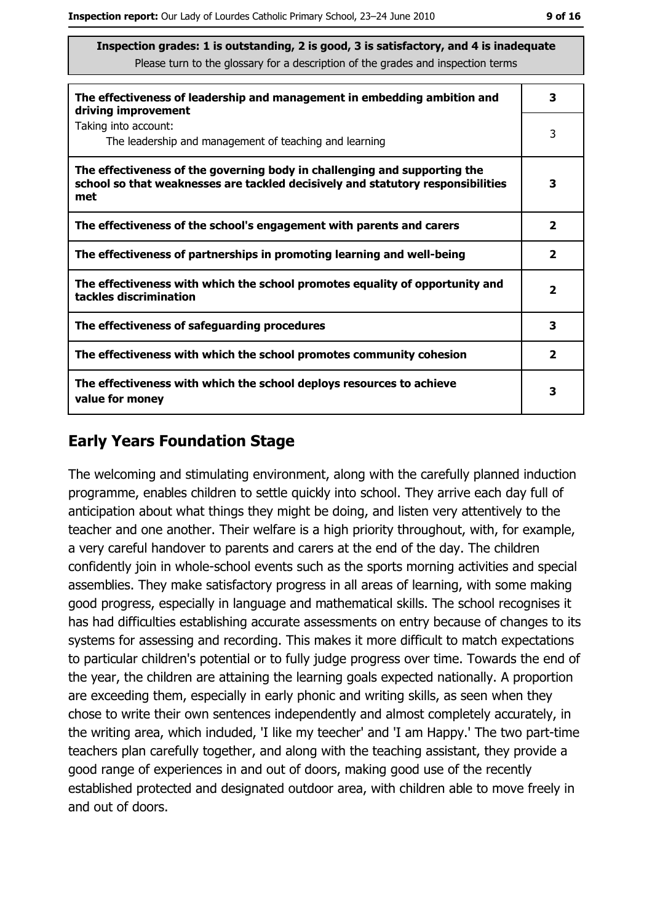| The effectiveness of leadership and management in embedding ambition and<br>driving improvement                                                                     |                         |
|---------------------------------------------------------------------------------------------------------------------------------------------------------------------|-------------------------|
| Taking into account:<br>The leadership and management of teaching and learning                                                                                      | 3                       |
| The effectiveness of the governing body in challenging and supporting the<br>school so that weaknesses are tackled decisively and statutory responsibilities<br>met | 3                       |
| The effectiveness of the school's engagement with parents and carers                                                                                                | $\overline{\mathbf{2}}$ |
| The effectiveness of partnerships in promoting learning and well-being                                                                                              | $\overline{\mathbf{2}}$ |
| The effectiveness with which the school promotes equality of opportunity and<br>tackles discrimination                                                              | $\overline{\mathbf{2}}$ |
| The effectiveness of safeguarding procedures                                                                                                                        | з                       |
| The effectiveness with which the school promotes community cohesion                                                                                                 | $\overline{\mathbf{2}}$ |
| The effectiveness with which the school deploys resources to achieve<br>value for money                                                                             | 3                       |

# **Early Years Foundation Stage**

The welcoming and stimulating environment, along with the carefully planned induction programme, enables children to settle quickly into school. They arrive each day full of anticipation about what things they might be doing, and listen very attentively to the teacher and one another. Their welfare is a high priority throughout, with, for example, a very careful handover to parents and carers at the end of the day. The children confidently join in whole-school events such as the sports morning activities and special assemblies. They make satisfactory progress in all areas of learning, with some making good progress, especially in language and mathematical skills. The school recognises it has had difficulties establishing accurate assessments on entry because of changes to its systems for assessing and recording. This makes it more difficult to match expectations to particular children's potential or to fully judge progress over time. Towards the end of the year, the children are attaining the learning goals expected nationally. A proportion are exceeding them, especially in early phonic and writing skills, as seen when they chose to write their own sentences independently and almost completely accurately, in the writing area, which induded, 'I like my teecher' and 'I am Happy.' The two part-time teachers plan carefully together, and along with the teaching assistant, they provide a good range of experiences in and out of doors, making good use of the recently established protected and designated outdoor area, with children able to move freely in and out of doors.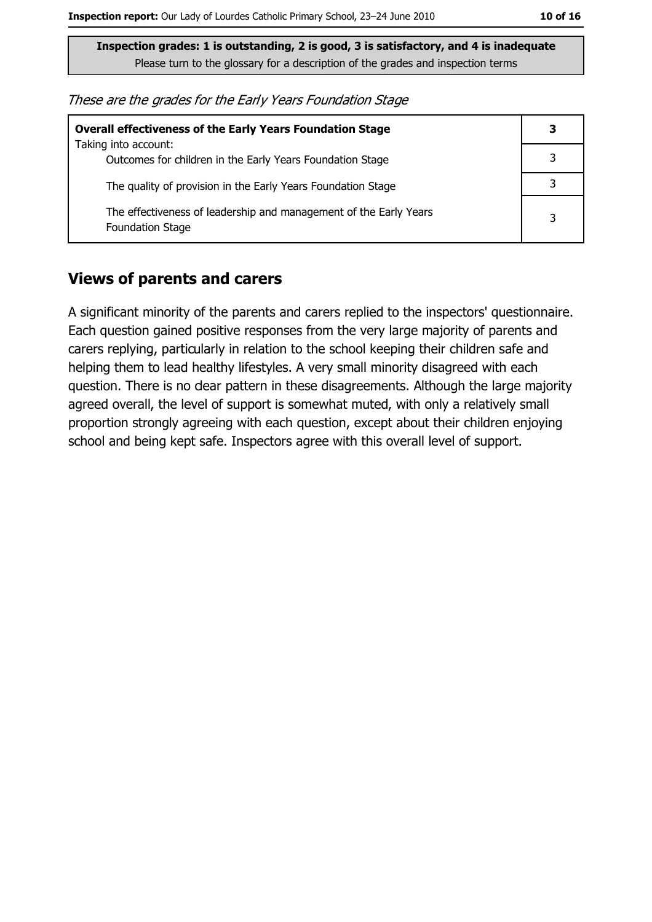These are the grades for the Early Years Foundation Stage

| <b>Overall effectiveness of the Early Years Foundation Stage</b>                             | 3 |
|----------------------------------------------------------------------------------------------|---|
| Taking into account:<br>Outcomes for children in the Early Years Foundation Stage            | 3 |
| The quality of provision in the Early Years Foundation Stage                                 |   |
| The effectiveness of leadership and management of the Early Years<br><b>Foundation Stage</b> | 3 |

### **Views of parents and carers**

A significant minority of the parents and carers replied to the inspectors' questionnaire. Each question gained positive responses from the very large majority of parents and carers replying, particularly in relation to the school keeping their children safe and helping them to lead healthy lifestyles. A very small minority disagreed with each question. There is no dear pattern in these disagreements. Although the large majority agreed overall, the level of support is somewhat muted, with only a relatively small proportion strongly agreeing with each question, except about their children enjoying school and being kept safe. Inspectors agree with this overall level of support.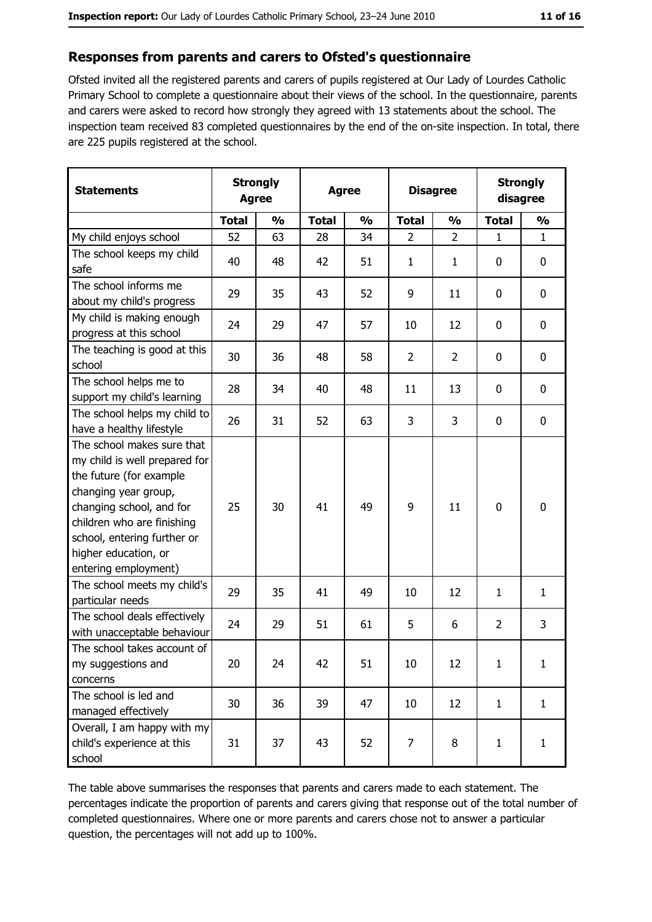### Responses from parents and carers to Ofsted's questionnaire

Ofsted invited all the registered parents and carers of pupils registered at Our Lady of Lourdes Catholic Primary School to complete a questionnaire about their views of the school. In the questionnaire, parents and carers were asked to record how strongly they agreed with 13 statements about the school. The inspection team received 83 completed questionnaires by the end of the on-site inspection. In total, there are 225 pupils registered at the school.

| <b>Statements</b>                                                                                                                                                                                                                                       | <b>Strongly</b><br><b>Agree</b> |               | <b>Agree</b> |               |                | <b>Disagree</b> |              | <b>Strongly</b><br>disagree |  |
|---------------------------------------------------------------------------------------------------------------------------------------------------------------------------------------------------------------------------------------------------------|---------------------------------|---------------|--------------|---------------|----------------|-----------------|--------------|-----------------------------|--|
|                                                                                                                                                                                                                                                         | <b>Total</b>                    | $\frac{0}{0}$ | <b>Total</b> | $\frac{0}{0}$ | <b>Total</b>   | $\frac{0}{0}$   | <b>Total</b> | $\frac{0}{0}$               |  |
| My child enjoys school                                                                                                                                                                                                                                  | 52                              | 63            | 28           | 34            | $\overline{2}$ | $\overline{2}$  | $\mathbf{1}$ | $\mathbf{1}$                |  |
| The school keeps my child<br>safe                                                                                                                                                                                                                       | 40                              | 48            | 42           | 51            | $\mathbf{1}$   | $\mathbf{1}$    | $\mathbf{0}$ | 0                           |  |
| The school informs me<br>about my child's progress                                                                                                                                                                                                      | 29                              | 35            | 43           | 52            | 9              | 11              | 0            | $\mathbf 0$                 |  |
| My child is making enough<br>progress at this school                                                                                                                                                                                                    | 24                              | 29            | 47           | 57            | 10             | 12              | 0            | 0                           |  |
| The teaching is good at this<br>school                                                                                                                                                                                                                  | 30                              | 36            | 48           | 58            | $\overline{2}$ | $\overline{2}$  | 0            | 0                           |  |
| The school helps me to<br>support my child's learning                                                                                                                                                                                                   | 28                              | 34            | 40           | 48            | 11             | 13              | 0            | $\mathbf 0$                 |  |
| The school helps my child to<br>have a healthy lifestyle                                                                                                                                                                                                | 26                              | 31            | 52           | 63            | 3              | 3               | 0            | 0                           |  |
| The school makes sure that<br>my child is well prepared for<br>the future (for example<br>changing year group,<br>changing school, and for<br>children who are finishing<br>school, entering further or<br>higher education, or<br>entering employment) | 25                              | 30            | 41           | 49            | 9              | 11              | 0            | 0                           |  |
| The school meets my child's<br>particular needs                                                                                                                                                                                                         | 29                              | 35            | 41           | 49            | 10             | 12              | 1            | $\mathbf{1}$                |  |
| The school deals effectively<br>with unacceptable behaviour                                                                                                                                                                                             | 24                              | 29            | 51           | 61            | 5              | 6               | 2            | 3                           |  |
| The school takes account of<br>my suggestions and<br>concerns                                                                                                                                                                                           | 20                              | 24            | 42           | 51            | 10             | 12              | 1            | 1                           |  |
| The school is led and<br>managed effectively                                                                                                                                                                                                            | 30                              | 36            | 39           | 47            | 10             | 12              | $\mathbf{1}$ | $\mathbf{1}$                |  |
| Overall, I am happy with my<br>child's experience at this<br>school                                                                                                                                                                                     | 31                              | 37            | 43           | 52            | $\overline{7}$ | 8               | $\mathbf{1}$ | $\mathbf{1}$                |  |

The table above summarises the responses that parents and carers made to each statement. The percentages indicate the proportion of parents and carers giving that response out of the total number of completed questionnaires. Where one or more parents and carers chose not to answer a particular question, the percentages will not add up to 100%.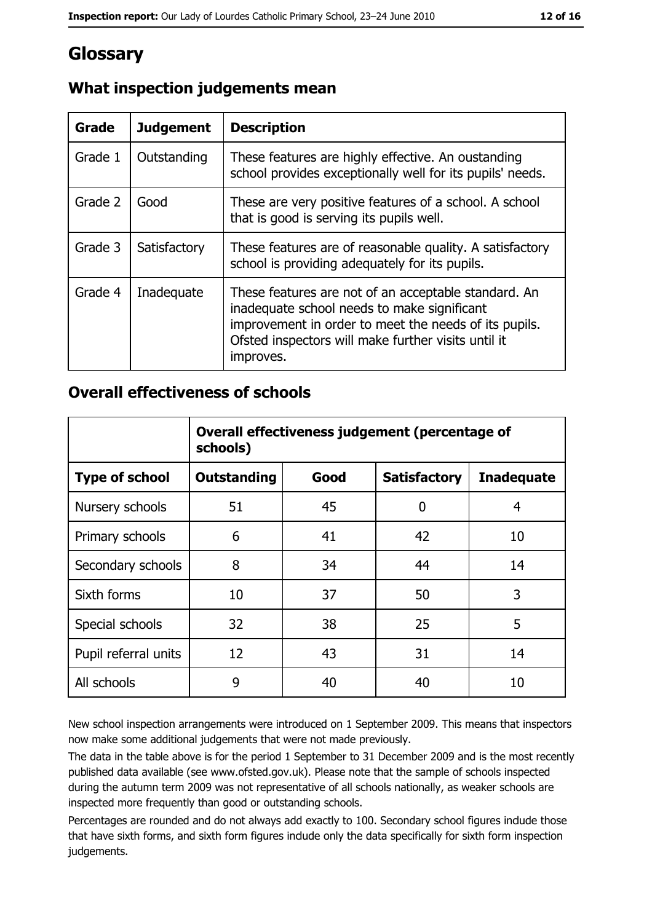# Glossary

| Grade   | <b>Judgement</b> | <b>Description</b>                                                                                                                                                                                                               |
|---------|------------------|----------------------------------------------------------------------------------------------------------------------------------------------------------------------------------------------------------------------------------|
| Grade 1 | Outstanding      | These features are highly effective. An oustanding<br>school provides exceptionally well for its pupils' needs.                                                                                                                  |
| Grade 2 | Good             | These are very positive features of a school. A school<br>that is good is serving its pupils well.                                                                                                                               |
| Grade 3 | Satisfactory     | These features are of reasonable quality. A satisfactory<br>school is providing adequately for its pupils.                                                                                                                       |
| Grade 4 | Inadequate       | These features are not of an acceptable standard. An<br>inadequate school needs to make significant<br>improvement in order to meet the needs of its pupils.<br>Ofsted inspectors will make further visits until it<br>improves. |

# What inspection judgements mean

# **Overall effectiveness of schools**

|                       | Overall effectiveness judgement (percentage of<br>schools) |      |                     |                   |
|-----------------------|------------------------------------------------------------|------|---------------------|-------------------|
| <b>Type of school</b> | <b>Outstanding</b>                                         | Good | <b>Satisfactory</b> | <b>Inadequate</b> |
| Nursery schools       | 51                                                         | 45   | 0                   | 4                 |
| Primary schools       | 6                                                          | 41   | 42                  | 10                |
| Secondary schools     | 8                                                          | 34   | 44                  | 14                |
| Sixth forms           | 10                                                         | 37   | 50                  | 3                 |
| Special schools       | 32                                                         | 38   | 25                  | 5                 |
| Pupil referral units  | 12                                                         | 43   | 31                  | 14                |
| All schools           | 9                                                          | 40   | 40                  | 10                |

New school inspection arrangements were introduced on 1 September 2009. This means that inspectors now make some additional judgements that were not made previously.

The data in the table above is for the period 1 September to 31 December 2009 and is the most recently published data available (see www.ofsted.gov.uk). Please note that the sample of schools inspected during the autumn term 2009 was not representative of all schools nationally, as weaker schools are inspected more frequently than good or outstanding schools.

Percentages are rounded and do not always add exactly to 100. Secondary school figures indude those that have sixth forms, and sixth form figures indude only the data specifically for sixth form inspection judgements.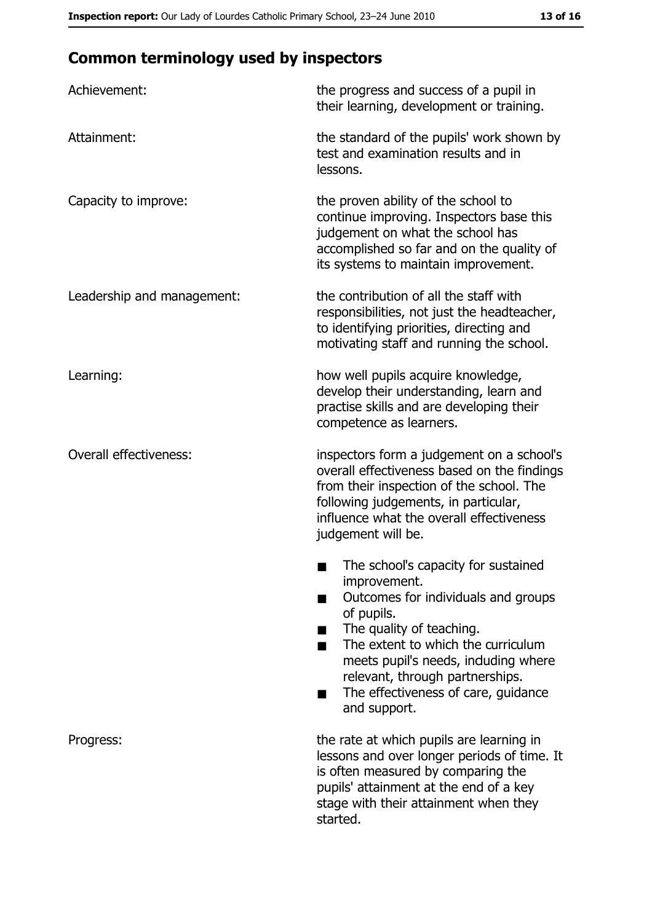# **Common terminology used by inspectors**

| Achievement:                  | the progress and success of a pupil in<br>their learning, development or training.                                                                                                                                                                                                                          |
|-------------------------------|-------------------------------------------------------------------------------------------------------------------------------------------------------------------------------------------------------------------------------------------------------------------------------------------------------------|
| Attainment:                   | the standard of the pupils' work shown by<br>test and examination results and in<br>lessons.                                                                                                                                                                                                                |
| Capacity to improve:          | the proven ability of the school to<br>continue improving. Inspectors base this<br>judgement on what the school has<br>accomplished so far and on the quality of<br>its systems to maintain improvement.                                                                                                    |
| Leadership and management:    | the contribution of all the staff with<br>responsibilities, not just the headteacher,<br>to identifying priorities, directing and<br>motivating staff and running the school.                                                                                                                               |
| Learning:                     | how well pupils acquire knowledge,<br>develop their understanding, learn and<br>practise skills and are developing their<br>competence as learners.                                                                                                                                                         |
| <b>Overall effectiveness:</b> | inspectors form a judgement on a school's<br>overall effectiveness based on the findings<br>from their inspection of the school. The<br>following judgements, in particular,<br>influence what the overall effectiveness<br>judgement will be.                                                              |
|                               | The school's capacity for sustained<br>improvement.<br>Outcomes for individuals and groups<br>of pupils.<br>The quality of teaching.<br>The extent to which the curriculum<br>meets pupil's needs, induding where<br>relevant, through partnerships.<br>The effectiveness of care, guidance<br>and support. |
| Progress:                     | the rate at which pupils are learning in<br>lessons and over longer periods of time. It<br>is often measured by comparing the<br>pupils' attainment at the end of a key<br>stage with their attainment when they<br>started.                                                                                |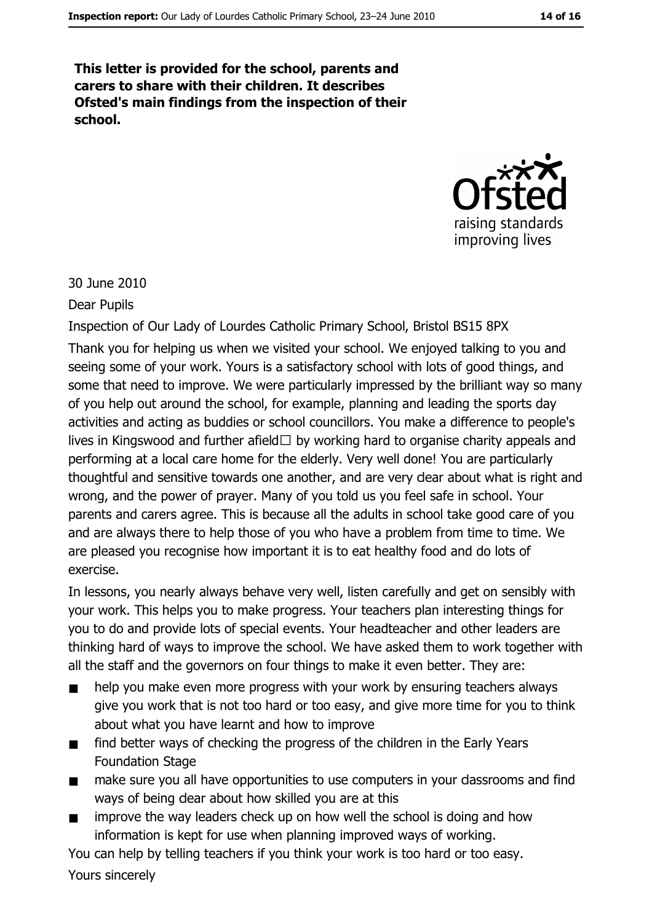This letter is provided for the school, parents and carers to share with their children. It describes Ofsted's main findings from the inspection of their school.



30 June 2010

**Dear Pupils** 

Inspection of Our Lady of Lourdes Catholic Primary School, Bristol BS15 8PX Thank you for helping us when we visited your school. We enjoyed talking to you and seeing some of your work. Yours is a satisfactory school with lots of good things, and some that need to improve. We were particularly impressed by the brilliant way so many of you help out around the school, for example, planning and leading the sports day activities and acting as buddies or school councillors. You make a difference to people's lives in Kingswood and further afield $\Box$  by working hard to organise charity appeals and performing at a local care home for the elderly. Very well done! You are particularly thoughtful and sensitive towards one another, and are very dear about what is right and wrong, and the power of prayer. Many of you told us you feel safe in school. Your parents and carers agree. This is because all the adults in school take good care of you and are always there to help those of you who have a problem from time to time. We are pleased you recognise how important it is to eat healthy food and do lots of exercise.

In lessons, you nearly always behave very well, listen carefully and get on sensibly with your work. This helps you to make progress. Your teachers plan interesting things for you to do and provide lots of special events. Your headteacher and other leaders are thinking hard of ways to improve the school. We have asked them to work together with all the staff and the governors on four things to make it even better. They are:

- help you make even more progress with your work by ensuring teachers always  $\blacksquare$ give you work that is not too hard or too easy, and give more time for you to think about what you have learnt and how to improve
- find better ways of checking the progress of the children in the Early Years  $\blacksquare$ **Foundation Stage**
- $\blacksquare$ make sure you all have opportunities to use computers in your dassrooms and find ways of being dear about how skilled you are at this
- improve the way leaders check up on how well the school is doing and how  $\blacksquare$ information is kept for use when planning improved ways of working.

You can help by telling teachers if you think your work is too hard or too easy.

Yours sincerely